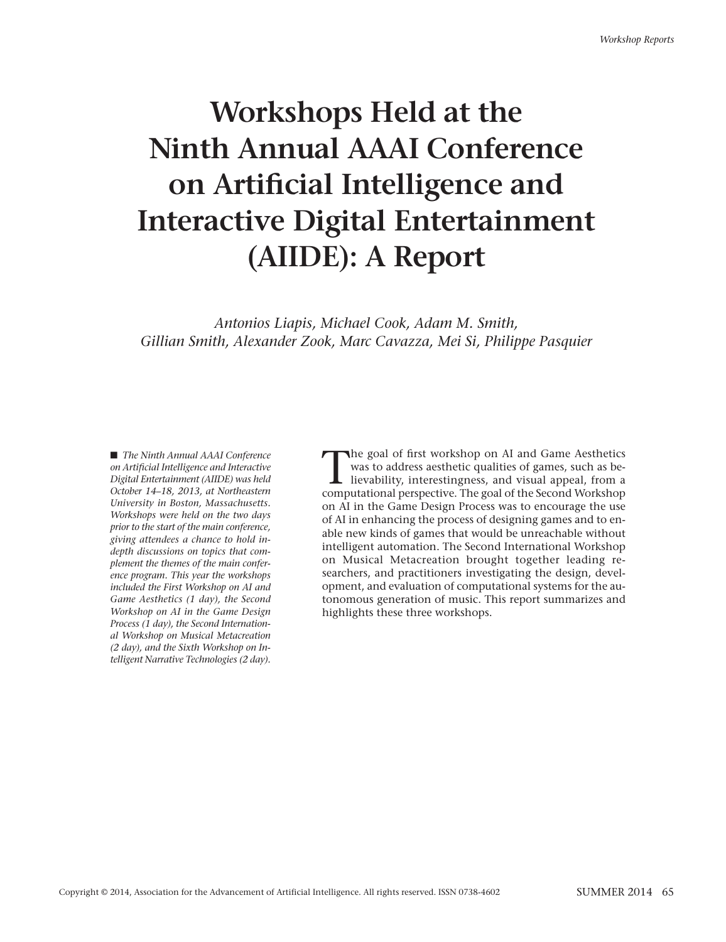# **Workshops Held at the Ninth Annual AAAI Conference on Artificial Intelligence and Interactive Digital Entertainment (AIIDE): A Report**

*Antonios Liapis, Michael Cook, Adam M. Smith, Gillian Smith, Alexander Zook, Marc Cavazza, Mei Si, Philippe Pasquier*

■ *The Ninth Annual AAAI Conference on Artificial Intelligence and Interactive Digital Entertainment (AIIDE) was held October 14–18, 2013, at Northeastern University in Boston, Massachusetts. Workshops were held on the two days prior to the start of the main conference, giving attendees a chance to hold indepth discussions on topics that complement the themes of the main conference program. This year the workshops included the First Workshop on AI and Game Aesthetics (1 day), the Second Workshop on AI in the Game Design Process (1 day), the Second International Workshop on Musical Metacreation (2 day), and the Sixth Workshop on Intelligent Narrative Technologies (2 day).*

The goal of first workshop on AI and Game Aesthetics<br>was to address aesthetic qualities of games, such as be-<br>lievability, interestingness, and visual appeal, from a<br>computational perspective. The goal of the Second Worksh was to address aesthetic qualities of games, such as becomputational perspective. The goal of the Second Workshop on AI in the Game Design Process was to encourage the use of AI in enhancing the process of designing games and to enable new kinds of games that would be unreachable without intelligent automation. The Second International Workshop on Musical Metacreation brought together leading researchers, and practitioners investigating the design, development, and evaluation of computational systems for the autonomous generation of music. This report summarizes and highlights these three workshops.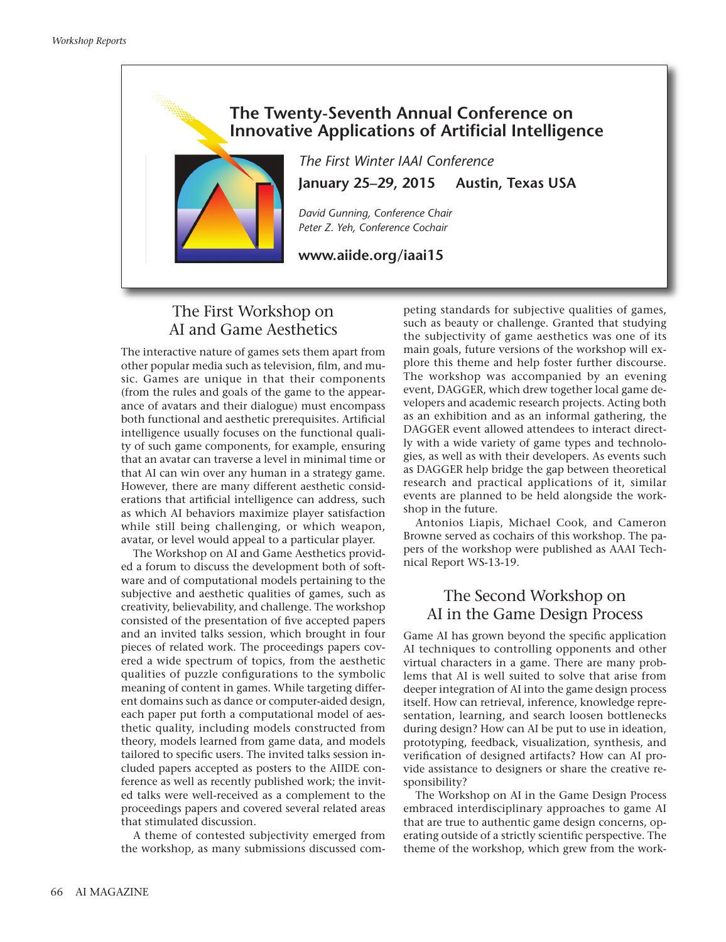## **The Twenty-Seventh Annual Conference on Innovative Applications of Artificial Intelligence**



*The First Winter IAAI Conference* **January 25–29, 2015 Austin, Texas USA**

*David Gunning, Conference Chair Peter Z. Yeh, Conference Cochair*

**www.aiide.org/iaai15**

## The First Workshop on AI and Game Aesthetics

The interactive nature of games sets them apart from other popular media such as television, film, and music. Games are unique in that their components (from the rules and goals of the game to the appearance of avatars and their dialogue) must encompass both functional and aesthetic prerequisites. Artificial intelligence usually focuses on the functional quality of such game components, for example, ensuring that an avatar can traverse a level in minimal time or that AI can win over any human in a strategy game. However, there are many different aesthetic considerations that artificial intelligence can address, such as which AI behaviors maximize player satisfaction while still being challenging, or which weapon, avatar, or level would appeal to a particular player.

The Workshop on AI and Game Aesthetics provided a forum to discuss the development both of software and of computational models pertaining to the subjective and aesthetic qualities of games, such as creativity, believability, and challenge. The workshop consisted of the presentation of five accepted papers and an invited talks session, which brought in four pieces of related work. The proceedings papers covered a wide spectrum of topics, from the aesthetic qualities of puzzle configurations to the symbolic meaning of content in games. While targeting different domains such as dance or computer-aided design, each paper put forth a computational model of aesthetic quality, including models constructed from theory, models learned from game data, and models tailored to specific users. The invited talks session included papers accepted as posters to the AIIDE conference as well as recently published work; the invited talks were well-received as a complement to the proceedings papers and covered several related areas that stimulated discussion.

A theme of contested subjectivity emerged from the workshop, as many submissions discussed competing standards for subjective qualities of games, such as beauty or challenge. Granted that studying the subjectivity of game aesthetics was one of its main goals, future versions of the workshop will explore this theme and help foster further discourse. The workshop was accompanied by an evening event, DAGGER, which drew together local game developers and academic research projects. Acting both as an exhibition and as an informal gathering, the DAGGER event allowed attendees to interact directly with a wide variety of game types and technologies, as well as with their developers. As events such as DAGGER help bridge the gap between theoretical research and practical applications of it, similar events are planned to be held alongside the workshop in the future.

Antonios Liapis, Michael Cook, and Cameron Browne served as cochairs of this workshop. The papers of the workshop were published as AAAI Technical Report WS-13-19.

#### The Second Workshop on AI in the Game Design Process

Game AI has grown beyond the specific application AI techniques to controlling opponents and other virtual characters in a game. There are many problems that AI is well suited to solve that arise from deeper integration of AI into the game design process itself. How can retrieval, inference, knowledge representation, learning, and search loosen bottlenecks during design? How can AI be put to use in ideation, prototyping, feedback, visualization, synthesis, and verification of designed artifacts? How can AI provide assistance to designers or share the creative responsibility?

The Workshop on AI in the Game Design Process embraced interdisciplinary approaches to game AI that are true to authentic game design concerns, operating outside of a strictly scientific perspective. The theme of the workshop, which grew from the work-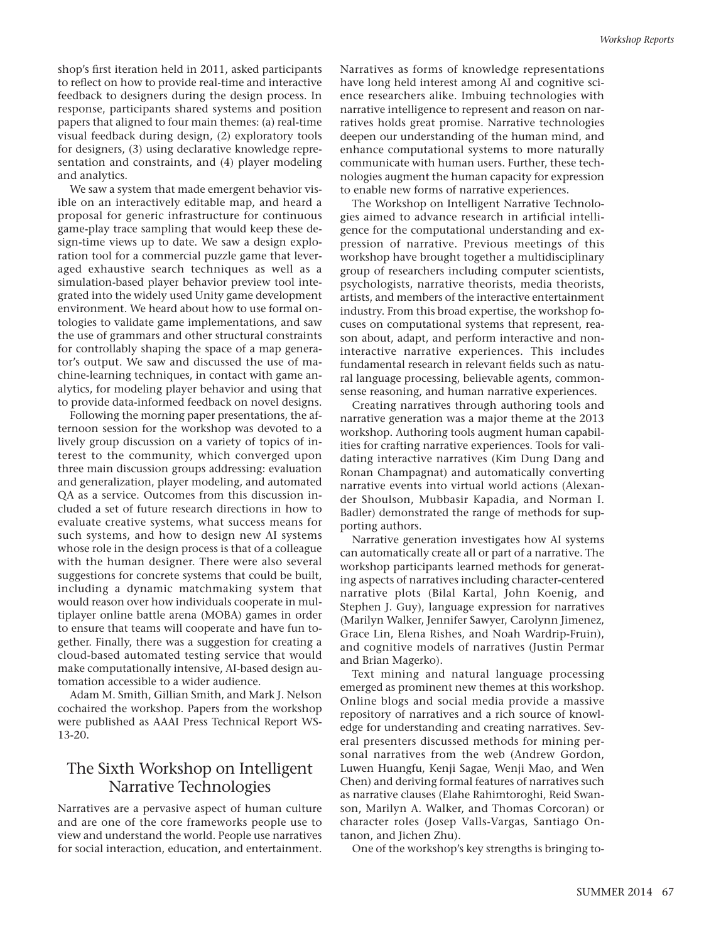shop's first iteration held in 2011, asked participants to reflect on how to provide real-time and interactive feedback to designers during the design process. In response, participants shared systems and position papers that aligned to four main themes: (a) real-time visual feedback during design, (2) exploratory tools for designers, (3) using declarative knowledge representation and constraints, and (4) player modeling and analytics.

We saw a system that made emergent behavior visible on an interactively editable map, and heard a proposal for generic infrastructure for continuous game-play trace sampling that would keep these design-time views up to date. We saw a design exploration tool for a commercial puzzle game that leveraged exhaustive search techniques as well as a simulation-based player behavior preview tool integrated into the widely used Unity game development environment. We heard about how to use formal ontologies to validate game implementations, and saw the use of grammars and other structural constraints for controllably shaping the space of a map generator's output. We saw and discussed the use of machine-learning techniques, in contact with game analytics, for modeling player behavior and using that to provide data-informed feedback on novel designs.

Following the morning paper presentations, the afternoon session for the workshop was devoted to a lively group discussion on a variety of topics of interest to the community, which converged upon three main discussion groups addressing: evaluation and generalization, player modeling, and automated QA as a service. Outcomes from this discussion included a set of future research directions in how to evaluate creative systems, what success means for such systems, and how to design new AI systems whose role in the design process is that of a colleague with the human designer. There were also several suggestions for concrete systems that could be built, including a dynamic matchmaking system that would reason over how individuals cooperate in multiplayer online battle arena (MOBA) games in order to ensure that teams will cooperate and have fun together. Finally, there was a suggestion for creating a cloud-based automated testing service that would make computationally intensive, AI-based design automation accessible to a wider audience.

Adam M. Smith, Gillian Smith, and Mark J. Nelson cochaired the workshop. Papers from the workshop were published as AAAI Press Technical Report WS-13-20.

### The Sixth Workshop on Intelligent Narrative Technologies

Narratives are a pervasive aspect of human culture and are one of the core frameworks people use to view and understand the world. People use narratives for social interaction, education, and entertainment.

Narratives as forms of knowledge representations have long held interest among AI and cognitive science researchers alike. Imbuing technologies with narrative intelligence to represent and reason on narratives holds great promise. Narrative technologies deepen our understanding of the human mind, and enhance computational systems to more naturally communicate with human users. Further, these technologies augment the human capacity for expression to enable new forms of narrative experiences.

The Workshop on Intelligent Narrative Technologies aimed to advance research in artificial intelligence for the computational understanding and expression of narrative. Previous meetings of this workshop have brought together a multidisciplinary group of researchers including computer scientists, psychologists, narrative theorists, media theorists, artists, and members of the interactive entertainment industry. From this broad expertise, the workshop focuses on computational systems that represent, reason about, adapt, and perform interactive and noninteractive narrative experiences. This includes fundamental research in relevant fields such as natural language processing, believable agents, commonsense reasoning, and human narrative experiences.

Creating narratives through authoring tools and narrative generation was a major theme at the 2013 workshop. Authoring tools augment human capabilities for crafting narrative experiences. Tools for validating interactive narratives (Kim Dung Dang and Ronan Champagnat) and automatically converting narrative events into virtual world actions (Alexander Shoulson, Mubbasir Kapadia, and Norman I. Badler) demonstrated the range of methods for supporting authors.

Narrative generation investigates how AI systems can automatically create all or part of a narrative. The workshop participants learned methods for generating aspects of narratives including character-centered narrative plots (Bilal Kartal, John Koenig, and Stephen J. Guy), language expression for narratives (Marilyn Walker, Jennifer Sawyer, Carolynn Jimenez, Grace Lin, Elena Rishes, and Noah Wardrip-Fruin), and cognitive models of narratives (Justin Permar and Brian Magerko).

Text mining and natural language processing emerged as prominent new themes at this workshop. Online blogs and social media provide a massive repository of narratives and a rich source of knowledge for understanding and creating narratives. Several presenters discussed methods for mining personal narratives from the web (Andrew Gordon, Luwen Huangfu, Kenji Sagae, Wenji Mao, and Wen Chen) and deriving formal features of narratives such as narrative clauses (Elahe Rahimtoroghi, Reid Swanson, Marilyn A. Walker, and Thomas Corcoran) or character roles (Josep Valls-Vargas, Santiago Ontanon, and Jichen Zhu).

One of the workshop's key strengths is bringing to-